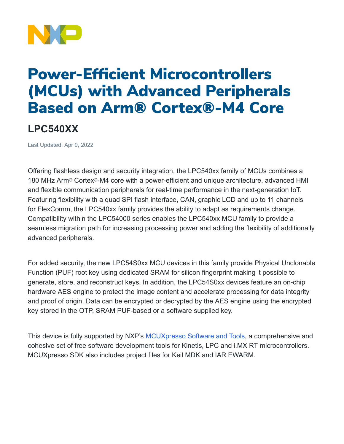

## Power-Efficient Microcontrollers (MCUs) with Advanced Peripherals Based on Arm® Cortex®-M4 Core

## **LPC540XX**

Last Updated: Apr 9, 2022

Offering flashless design and security integration, the LPC540xx family of MCUs combines a 180 MHz Arm® Cortex®-M4 core with a power-efficient and unique architecture, advanced HMI and flexible communication peripherals for real-time performance in the next-generation IoT. Featuring flexibility with a quad SPI flash interface, CAN, graphic LCD and up to 11 channels for FlexComm, the LPC540xx family provides the ability to adapt as requirements change. Compatibility within the LPC54000 series enables the LPC540xx MCU family to provide a seamless migration path for increasing processing power and adding the flexibility of additionally advanced peripherals.

For added security, the new LPC54S0xx MCU devices in this family provide Physical Unclonable Function (PUF) root key using dedicated SRAM for silicon fingerprint making it possible to generate, store, and reconstruct keys. In addition, the LPC54S0xx devices feature an on-chip hardware AES engine to protect the image content and accelerate processing for data integrity and proof of origin. Data can be encrypted or decrypted by the AES engine using the encrypted key stored in the OTP, SRAM PUF-based or a software supplied key.

This device is fully supported by NXP's [MCUXpresso](https://www.nxp.com/design/software/development-software/mcuxpresso-software-and-tools-:MCUXPRESSO) Software and Tools, a comprehensive and cohesive set of free software development tools for Kinetis, LPC and i.MX RT microcontrollers. MCUXpresso SDK also includes project files for Keil MDK and IAR EWARM.